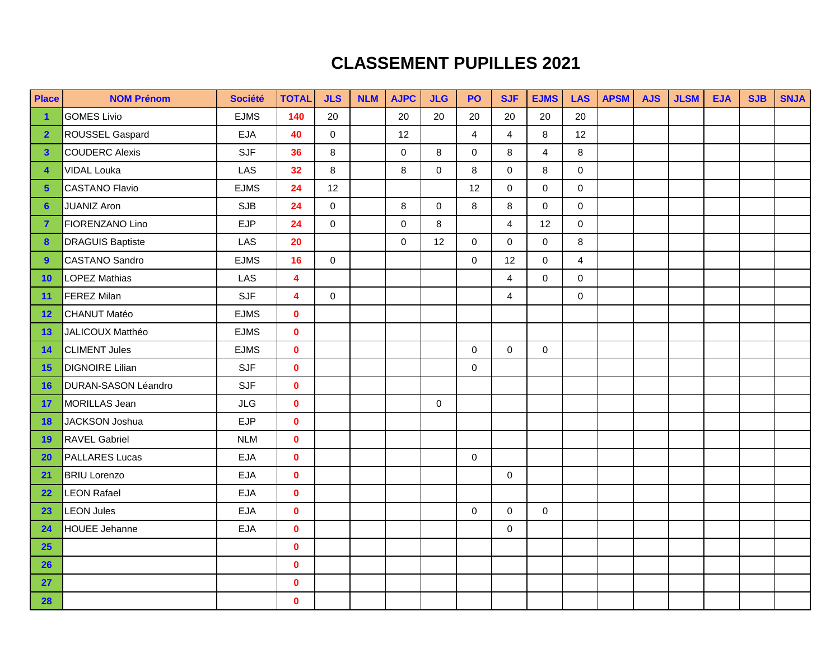## **CLASSEMENT PUPILLES 2021**

| <b>Place</b>            | <b>NOM Prénom</b>       | <b>Société</b> | <b>TOTAL</b>            | <b>JLS</b>  | <b>NLM</b> | <b>AJPC</b> | <b>JLG</b>  | PO                  | <b>SJF</b>     | <b>EJMS</b>             | <b>LAS</b>          | <b>APSM</b> | <b>AJS</b> | <b>JLSM</b> | <b>EJA</b> | <b>SJB</b> | <b>SNJA</b> |
|-------------------------|-------------------------|----------------|-------------------------|-------------|------------|-------------|-------------|---------------------|----------------|-------------------------|---------------------|-------------|------------|-------------|------------|------------|-------------|
| $\blacktriangleleft$    | <b>GOMES Livio</b>      | <b>EJMS</b>    | 140                     | 20          |            | 20          | 20          | 20                  | 20             | 20                      | 20                  |             |            |             |            |            |             |
| $\overline{2}$          | ROUSSEL Gaspard         | <b>EJA</b>     | 40                      | $\mathbf 0$ |            | 12          |             | $\overline{4}$      | $\overline{4}$ | 8                       | 12                  |             |            |             |            |            |             |
| $\mathbf{3}$            | COUDERC Alexis          | <b>SJF</b>     | 36                      | 8           |            | $\mathbf 0$ | 8           | $\mathbf 0$         | 8              | $\overline{\mathbf{4}}$ | 8                   |             |            |             |            |            |             |
| $\overline{\mathbf{4}}$ | <b>VIDAL Louka</b>      | LAS            | 32                      | 8           |            | $\,8\,$     | $\mathbf 0$ | 8                   | $\mathbf 0$    | 8                       | $\pmb{0}$           |             |            |             |            |            |             |
| $5\phantom{a}$          | <b>CASTANO Flavio</b>   | <b>EJMS</b>    | 24                      | 12          |            |             |             | 12                  | $\mathbf 0$    | $\mathbf 0$             | $\mathbf 0$         |             |            |             |            |            |             |
| $6\phantom{1}6$         | <b>JUANIZ Aron</b>      | <b>SJB</b>     | 24                      | $\mathbf 0$ |            | $\,8\,$     | $\mathbf 0$ | 8                   | 8              | $\mathbf 0$             | $\mathbf 0$         |             |            |             |            |            |             |
| $\overline{7}$          | FIORENZANO Lino         | <b>EJP</b>     | 24                      | $\mathbf 0$ |            | 0           | 8           |                     | $\overline{4}$ | 12                      | $\mathsf{O}\xspace$ |             |            |             |            |            |             |
| $\boldsymbol{8}$        | <b>DRAGUIS Baptiste</b> | LAS            | 20                      |             |            | $\mathbf 0$ | 12          | $\mathbf 0$         | $\mathbf 0$    | $\mathbf 0$             | 8                   |             |            |             |            |            |             |
| 9                       | <b>CASTANO Sandro</b>   | <b>EJMS</b>    | 16                      | $\mathbf 0$ |            |             |             | $\mathbf 0$         | 12             | $\mathbf 0$             | $\overline{4}$      |             |            |             |            |            |             |
| 10                      | <b>LOPEZ Mathias</b>    | LAS            | $\overline{\mathbf{4}}$ |             |            |             |             |                     | $\overline{4}$ | $\mathbf 0$             | $\pmb{0}$           |             |            |             |            |            |             |
| 11                      | <b>FEREZ Milan</b>      | <b>SJF</b>     | $\overline{\mathbf{4}}$ | $\mathbf 0$ |            |             |             |                     | $\overline{4}$ |                         | $\mathsf{O}\xspace$ |             |            |             |            |            |             |
| 12                      | <b>CHANUT Matéo</b>     | <b>EJMS</b>    | $\mathbf{0}$            |             |            |             |             |                     |                |                         |                     |             |            |             |            |            |             |
| 13                      | JALICOUX Matthéo        | <b>EJMS</b>    | $\mathbf{0}$            |             |            |             |             |                     |                |                         |                     |             |            |             |            |            |             |
| 14                      | <b>CLIMENT Jules</b>    | <b>EJMS</b>    | $\mathbf{0}$            |             |            |             |             | $\pmb{0}$           | $\mathbf 0$    | $\mathbf 0$             |                     |             |            |             |            |            |             |
| 15                      | <b>DIGNOIRE Lilian</b>  | <b>SJF</b>     | $\mathbf{0}$            |             |            |             |             | $\mathsf{O}\xspace$ |                |                         |                     |             |            |             |            |            |             |
| <b>16</b>               | DURAN-SASON Léandro     | <b>SJF</b>     | $\mathbf 0$             |             |            |             |             |                     |                |                         |                     |             |            |             |            |            |             |
| 17                      | MORILLAS Jean           | <b>JLG</b>     | $\mathbf{0}$            |             |            |             | $\mathbf 0$ |                     |                |                         |                     |             |            |             |            |            |             |
| 18                      | <b>JACKSON Joshua</b>   | <b>EJP</b>     | $\mathbf 0$             |             |            |             |             |                     |                |                         |                     |             |            |             |            |            |             |
| 19                      | <b>RAVEL Gabriel</b>    | <b>NLM</b>     | $\mathbf{0}$            |             |            |             |             |                     |                |                         |                     |             |            |             |            |            |             |
| 20                      | <b>PALLARES Lucas</b>   | <b>EJA</b>     | $\mathbf{0}$            |             |            |             |             | $\mathbf 0$         |                |                         |                     |             |            |             |            |            |             |
| 21                      | <b>BRIU Lorenzo</b>     | <b>EJA</b>     | $\mathbf{0}$            |             |            |             |             |                     | $\mathbf 0$    |                         |                     |             |            |             |            |            |             |
| 22                      | <b>LEON Rafael</b>      | <b>EJA</b>     | $\mathbf{0}$            |             |            |             |             |                     |                |                         |                     |             |            |             |            |            |             |
| 23                      | <b>LEON Jules</b>       | <b>EJA</b>     | $\mathbf 0$             |             |            |             |             | $\mathbf 0$         | $\mathbf 0$    | $\mathbf 0$             |                     |             |            |             |            |            |             |
| 24                      | <b>HOUEE Jehanne</b>    | <b>EJA</b>     | $\mathbf 0$             |             |            |             |             |                     | $\mathbf 0$    |                         |                     |             |            |             |            |            |             |
| <b>25</b>               |                         |                | $\mathbf{0}$            |             |            |             |             |                     |                |                         |                     |             |            |             |            |            |             |
| 26                      |                         |                | $\mathbf{0}$            |             |            |             |             |                     |                |                         |                     |             |            |             |            |            |             |
| 27                      |                         |                | $\mathbf{0}$            |             |            |             |             |                     |                |                         |                     |             |            |             |            |            |             |
| 28                      |                         |                | $\mathbf{0}$            |             |            |             |             |                     |                |                         |                     |             |            |             |            |            |             |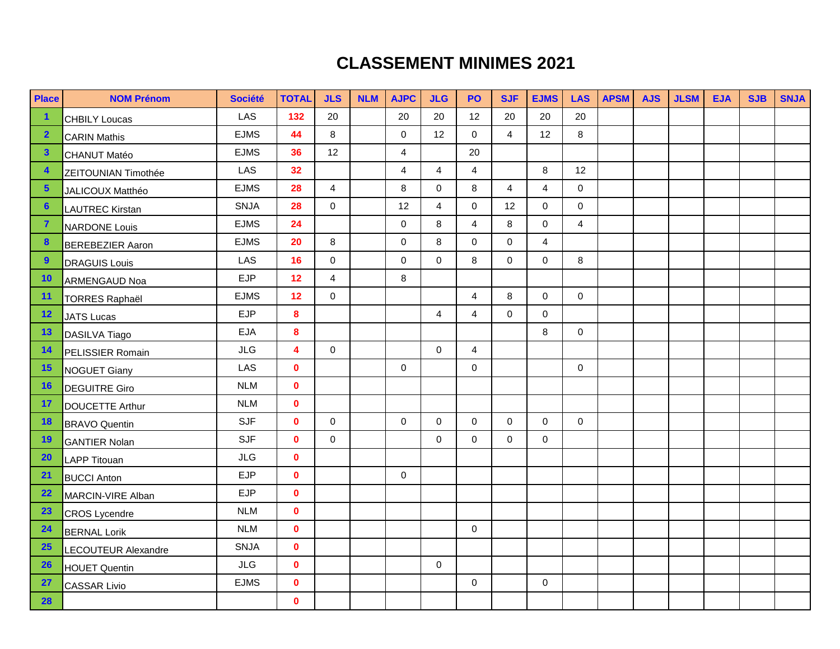## **CLASSEMENT MINIMES 2021**

| Place                   | <b>NOM Prénom</b>       | <b>Société</b> | <b>TOTAL</b>            | <b>JLS</b>     | <b>NLM</b> | <b>AJPC</b>    | <b>JLG</b>          | <b>PO</b>      | <b>SJF</b>     | <b>EJMS</b>    | <b>LAS</b>     | <b>APSM</b> | <b>AJS</b> | <b>JLSM</b> | <b>EJA</b> | <b>SJB</b> | <b>SNJA</b> |
|-------------------------|-------------------------|----------------|-------------------------|----------------|------------|----------------|---------------------|----------------|----------------|----------------|----------------|-------------|------------|-------------|------------|------------|-------------|
| $\blacktriangleleft$    | <b>CHBILY Loucas</b>    | <b>LAS</b>     | 132                     | 20             |            | 20             | 20                  | 12             | 20             | 20             | 20             |             |            |             |            |            |             |
| $\overline{\mathbf{2}}$ | <b>CARIN Mathis</b>     | <b>EJMS</b>    | 44                      | 8              |            | $\mathbf 0$    | 12                  | $\mathbf 0$    | $\overline{4}$ | 12             | 8              |             |            |             |            |            |             |
| $\mathbf{3}$            | <b>CHANUT Matéo</b>     | <b>EJMS</b>    | 36                      | 12             |            | $\overline{4}$ |                     | 20             |                |                |                |             |            |             |            |            |             |
| $\overline{\mathbf{4}}$ | ZEITOUNIAN Timothée     | LAS            | 32                      |                |            | $\overline{4}$ | $\overline{4}$      | 4              |                | 8              | 12             |             |            |             |            |            |             |
| $5\phantom{1}$          | JALICOUX Matthéo        | <b>EJMS</b>    | 28                      | $\overline{4}$ |            | 8              | $\mathbf 0$         | 8              | $\overline{4}$ | $\overline{4}$ | $\mathbf 0$    |             |            |             |            |            |             |
| $6\phantom{1}6$         | <b>LAUTREC Kirstan</b>  | <b>SNJA</b>    | 28                      | $\Omega$       |            | 12             | $\overline{4}$      | $\mathbf 0$    | 12             | $\mathbf 0$    | $\mathbf 0$    |             |            |             |            |            |             |
| $\overline{7}$          | <b>NARDONE Louis</b>    | <b>EJMS</b>    | 24                      |                |            | $\mathbf 0$    | 8                   | $\overline{4}$ | 8              | 0              | $\overline{4}$ |             |            |             |            |            |             |
| $\boldsymbol{8}$        | <b>BEREBEZIER Aaron</b> | <b>EJMS</b>    | 20                      | 8              |            | $\mathbf 0$    | 8                   | $\Omega$       | $\mathbf 0$    | $\overline{4}$ |                |             |            |             |            |            |             |
| 9                       | <b>DRAGUIS Louis</b>    | LAS            | 16                      | $\mathbf 0$    |            | $\mathbf 0$    | $\mathbf 0$         | $\,8\,$        | $\mathbf 0$    | $\mathbf 0$    | 8              |             |            |             |            |            |             |
| 10                      | <b>ARMENGAUD Noa</b>    | <b>EJP</b>     | 12                      | $\overline{4}$ |            | $\,8\,$        |                     |                |                |                |                |             |            |             |            |            |             |
| 11                      | <b>TORRES Raphaël</b>   | <b>EJMS</b>    | 12                      | $\mathbf 0$    |            |                |                     | $\overline{4}$ | 8              | $\mathbf 0$    | $\mathbf 0$    |             |            |             |            |            |             |
| 12                      | <b>JATS Lucas</b>       | <b>EJP</b>     | 8                       |                |            |                | $\overline{4}$      | $\overline{4}$ | $\mathbf 0$    | $\mathbf 0$    |                |             |            |             |            |            |             |
| 13                      | DASILVA Tiago           | <b>EJA</b>     | 8                       |                |            |                |                     |                |                | 8              | $\mathbf 0$    |             |            |             |            |            |             |
| 14                      | PELISSIER Romain        | <b>JLG</b>     | $\overline{\mathbf{4}}$ | $\Omega$       |            |                | $\mathbf 0$         | $\overline{4}$ |                |                |                |             |            |             |            |            |             |
| 15                      | <b>NOGUET Giany</b>     | LAS            | $\mathbf{0}$            |                |            | $\mathbf 0$    |                     | $\mathbf 0$    |                |                | $\mathbf 0$    |             |            |             |            |            |             |
| <b>16</b>               | <b>DEGUITRE Giro</b>    | <b>NLM</b>     | $\mathbf 0$             |                |            |                |                     |                |                |                |                |             |            |             |            |            |             |
| 17                      | <b>DOUCETTE Arthur</b>  | <b>NLM</b>     | $\mathbf 0$             |                |            |                |                     |                |                |                |                |             |            |             |            |            |             |
| <b>18</b>               | <b>BRAVO Quentin</b>    | <b>SJF</b>     | $\mathbf{0}$            | $\mathbf 0$    |            | $\mathbf 0$    | $\mathbf 0$         | $\mathbf 0$    | $\mathbf 0$    | $\mathbf 0$    | $\mathbf 0$    |             |            |             |            |            |             |
| 19                      | <b>GANTIER Nolan</b>    | <b>SJF</b>     | $\mathbf{0}$            | $\mathbf 0$    |            |                | $\mathbf 0$         | $\mathbf 0$    | $\mathbf 0$    | $\mathbf 0$    |                |             |            |             |            |            |             |
| 20                      | <b>LAPP Titouan</b>     | <b>JLG</b>     | $\mathbf 0$             |                |            |                |                     |                |                |                |                |             |            |             |            |            |             |
| 21                      | <b>BUCCI Anton</b>      | <b>EJP</b>     | $\mathbf{0}$            |                |            | $\mathbf 0$    |                     |                |                |                |                |             |            |             |            |            |             |
| 22                      | MARCIN-VIRE Alban       | <b>EJP</b>     | $\mathbf 0$             |                |            |                |                     |                |                |                |                |             |            |             |            |            |             |
| 23                      | <b>CROS Lycendre</b>    | <b>NLM</b>     | $\mathbf 0$             |                |            |                |                     |                |                |                |                |             |            |             |            |            |             |
| 24                      | <b>BERNAL Lorik</b>     | <b>NLM</b>     | $\mathbf 0$             |                |            |                |                     | $\pmb{0}$      |                |                |                |             |            |             |            |            |             |
| 25                      | LECOUTEUR Alexandre     | <b>SNJA</b>    | $\mathbf 0$             |                |            |                |                     |                |                |                |                |             |            |             |            |            |             |
| 26                      | <b>HOUET Quentin</b>    | JLG            | $\mathbf 0$             |                |            |                | $\mathsf{O}\xspace$ |                |                |                |                |             |            |             |            |            |             |
| 27                      | <b>CASSAR Livio</b>     | <b>EJMS</b>    | $\mathbf 0$             |                |            |                |                     | $\mathbf 0$    |                | $\mathbf 0$    |                |             |            |             |            |            |             |
| 28                      |                         |                | $\mathbf 0$             |                |            |                |                     |                |                |                |                |             |            |             |            |            |             |